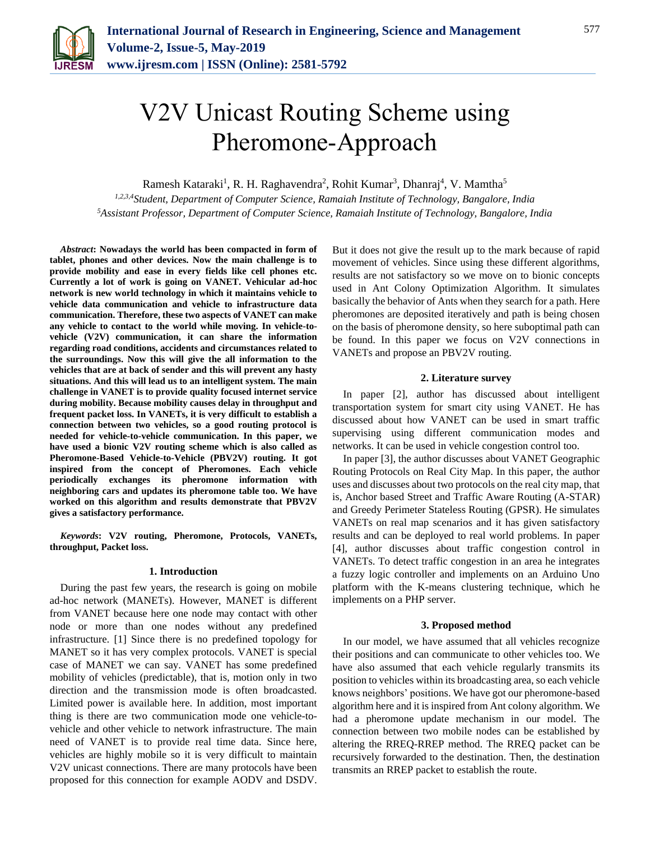

# V2V Unicast Routing Scheme using Pheromone-Approach

Ramesh Kataraki<sup>1</sup>, R. H. Raghavendra<sup>2</sup>, Rohit Kumar<sup>3</sup>, Dhanraj<sup>4</sup>, V. Mamtha<sup>5</sup>

*1,2,3,4Student, Department of Computer Science, Ramaiah Institute of Technology, Bangalore, India <sup>5</sup>Assistant Professor, Department of Computer Science, Ramaiah Institute of Technology, Bangalore, India*

*Abstract***: Nowadays the world has been compacted in form of tablet, phones and other devices. Now the main challenge is to provide mobility and ease in every fields like cell phones etc. Currently a lot of work is going on VANET. Vehicular ad-hoc network is new world technology in which it maintains vehicle to vehicle data communication and vehicle to infrastructure data communication. Therefore, these two aspects of VANET can make any vehicle to contact to the world while moving. In vehicle-tovehicle (V2V) communication, it can share the information regarding road conditions, accidents and circumstances related to the surroundings. Now this will give the all information to the vehicles that are at back of sender and this will prevent any hasty situations. And this will lead us to an intelligent system. The main challenge in VANET is to provide quality focused internet service during mobility. Because mobility causes delay in throughput and frequent packet loss. In VANETs, it is very difficult to establish a connection between two vehicles, so a good routing protocol is needed for vehicle-to-vehicle communication. In this paper, we have used a bionic V2V routing scheme which is also called as Pheromone-Based Vehicle-to-Vehicle (PBV2V) routing. It got inspired from the concept of Pheromones. Each vehicle periodically exchanges its pheromone information with neighboring cars and updates its pheromone table too. We have worked on this algorithm and results demonstrate that PBV2V gives a satisfactory performance.**

*Keywords***: V2V routing, Pheromone, Protocols, VANETs, throughput, Packet loss.**

#### **1. Introduction**

During the past few years, the research is going on mobile ad-hoc network (MANETs). However, MANET is different from VANET because here one node may contact with other node or more than one nodes without any predefined infrastructure. [1] Since there is no predefined topology for MANET so it has very complex protocols. VANET is special case of MANET we can say. VANET has some predefined mobility of vehicles (predictable), that is, motion only in two direction and the transmission mode is often broadcasted. Limited power is available here. In addition, most important thing is there are two communication mode one vehicle-tovehicle and other vehicle to network infrastructure. The main need of VANET is to provide real time data. Since here, vehicles are highly mobile so it is very difficult to maintain V2V unicast connections. There are many protocols have been proposed for this connection for example AODV and DSDV.

But it does not give the result up to the mark because of rapid movement of vehicles. Since using these different algorithms, results are not satisfactory so we move on to bionic concepts used in Ant Colony Optimization Algorithm. It simulates basically the behavior of Ants when they search for a path. Here pheromones are deposited iteratively and path is being chosen on the basis of pheromone density, so here suboptimal path can be found. In this paper we focus on V2V connections in VANETs and propose an PBV2V routing.

#### **2. Literature survey**

In paper [2], author has discussed about intelligent transportation system for smart city using VANET. He has discussed about how VANET can be used in smart traffic supervising using different communication modes and networks. It can be used in vehicle congestion control too.

In paper [3], the author discusses about VANET Geographic Routing Protocols on Real City Map. In this paper, the author uses and discusses about two protocols on the real city map, that is, Anchor based Street and Traffic Aware Routing (A-STAR) and Greedy Perimeter Stateless Routing (GPSR). He simulates VANETs on real map scenarios and it has given satisfactory results and can be deployed to real world problems. In paper [4], author discusses about traffic congestion control in VANETs. To detect traffic congestion in an area he integrates a fuzzy logic controller and implements on an Arduino Uno platform with the K-means clustering technique, which he implements on a PHP server.

## **3. Proposed method**

In our model, we have assumed that all vehicles recognize their positions and can communicate to other vehicles too. We have also assumed that each vehicle regularly transmits its position to vehicles within its broadcasting area, so each vehicle knows neighbors' positions. We have got our pheromone-based algorithm here and it is inspired from Ant colony algorithm. We had a pheromone update mechanism in our model. The connection between two mobile nodes can be established by altering the RREQ-RREP method. The RREQ packet can be recursively forwarded to the destination. Then, the destination transmits an RREP packet to establish the route.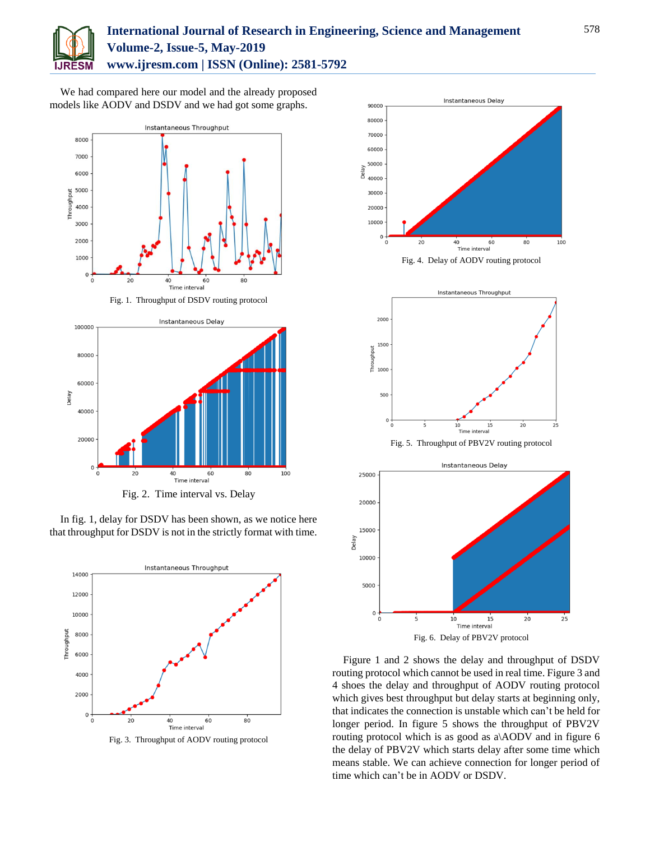

# **International Journal of Research in Engineering, Science and Management Volume-2, Issue-5, May-2019 www.ijresm.com | ISSN (Online): 2581-5792**

We had compared here our model and the already proposed models like AODV and DSDV and we had got some graphs.



Fig. 1. Throughput of DSDV routing protocol



In fig. 1, delay for DSDV has been shown, as we notice here that throughput for DSDV is not in the strictly format with time.



Fig. 3. Throughput of AODV routing protocol



Fig. 6. Delay of PBV2V protocol

Delay

Figure 1 and 2 shows the delay and throughput of DSDV routing protocol which cannot be used in real time. Figure 3 and 4 shoes the delay and throughput of AODV routing protocol which gives best throughput but delay starts at beginning only, that indicates the connection is unstable which can't be held for longer period. In figure 5 shows the throughput of PBV2V routing protocol which is as good as a\AODV and in figure 6 the delay of PBV2V which starts delay after some time which means stable. We can achieve connection for longer period of time which can't be in AODV or DSDV.